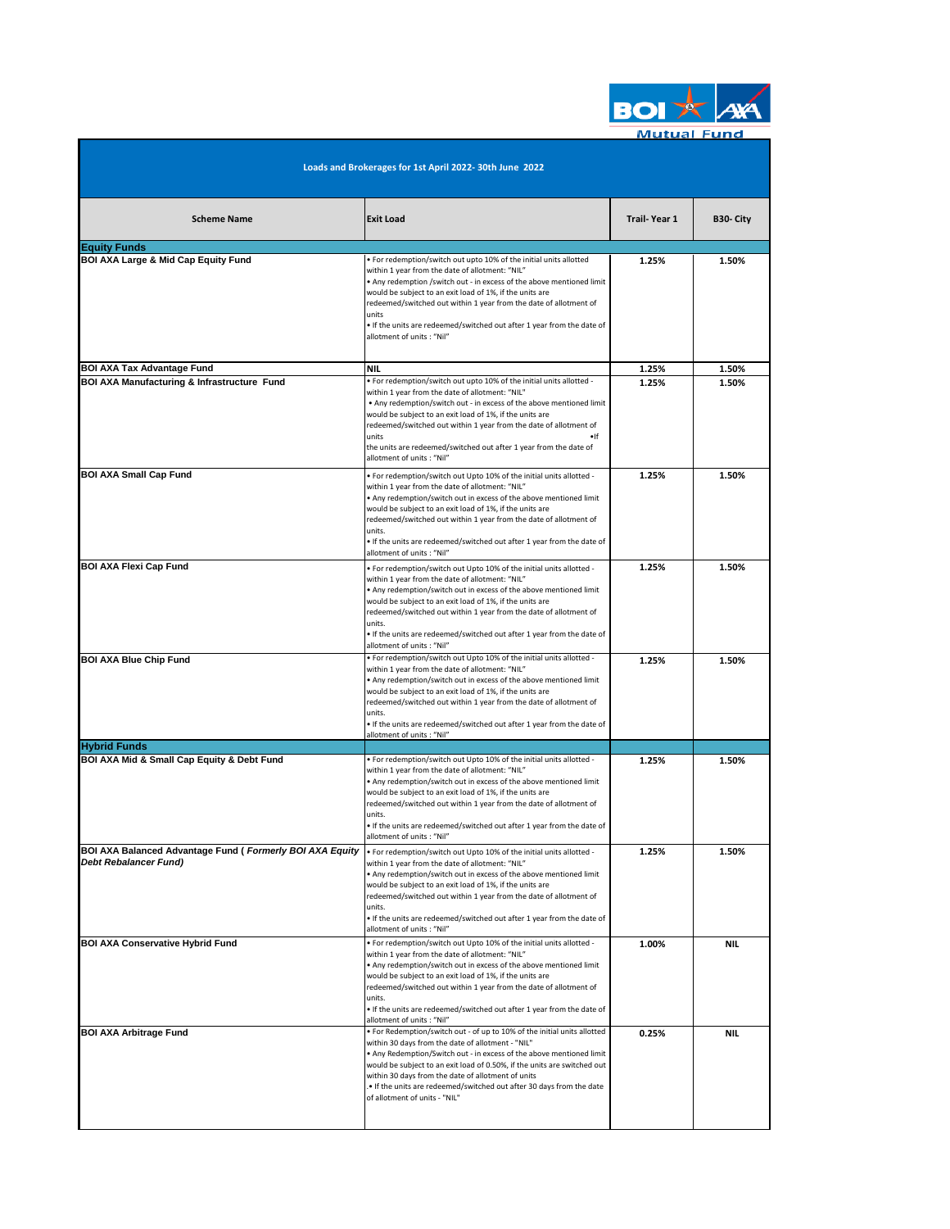

**Mutual Fund** 

| Loads and Brokerages for 1st April 2022-30th June 2022                                      |                                                                                                                                                                                                                                                                                                                                                                                                                                                                    |                     |                |  |  |  |
|---------------------------------------------------------------------------------------------|--------------------------------------------------------------------------------------------------------------------------------------------------------------------------------------------------------------------------------------------------------------------------------------------------------------------------------------------------------------------------------------------------------------------------------------------------------------------|---------------------|----------------|--|--|--|
| <b>Scheme Name</b>                                                                          | <b>Exit Load</b>                                                                                                                                                                                                                                                                                                                                                                                                                                                   | <b>Trail-Year 1</b> | B30- City      |  |  |  |
| <b>Equity Funds</b><br><b>BOI AXA Large &amp; Mid Cap Equity Fund</b>                       | . For redemption/switch out upto 10% of the initial units allotted<br>within 1 year from the date of allotment: "NIL"<br>. Any redemption /switch out - in excess of the above mentioned limit<br>would be subject to an exit load of 1%, if the units are<br>redeemed/switched out within 1 year from the date of allotment of<br>units<br>. If the units are redeemed/switched out after 1 year from the date of<br>allotment of units: "Nil"                    | 1.25%               | 1.50%          |  |  |  |
| <b>BOI AXA Tax Advantage Fund</b><br><b>BOI AXA Manufacturing &amp; Infrastructure Fund</b> | NIL<br>. For redemption/switch out upto 10% of the initial units allotted -<br>within 1 year from the date of allotment: "NIL"<br>. Any redemption/switch out - in excess of the above mentioned limit<br>would be subject to an exit load of 1%, if the units are<br>redeemed/switched out within 1 year from the date of allotment of<br>units<br>$\bullet$ If<br>the units are redeemed/switched out after 1 year from the date of<br>allotment of units: "Nil" | 1.25%<br>1.25%      | 1.50%<br>1.50% |  |  |  |
| <b>BOI AXA Small Cap Fund</b>                                                               | . For redemption/switch out Upto 10% of the initial units allotted -<br>within 1 year from the date of allotment: "NIL"<br>. Any redemption/switch out in excess of the above mentioned limit<br>would be subject to an exit load of 1%, if the units are<br>redeemed/switched out within 1 year from the date of allotment of<br>units.<br>. If the units are redeemed/switched out after 1 year from the date of<br>allotment of units: "Nil"                    | 1.25%               | 1.50%          |  |  |  |
| <b>BOI AXA Flexi Cap Fund</b>                                                               | . For redemption/switch out Upto 10% of the initial units allotted -<br>within 1 year from the date of allotment: "NIL"<br>. Any redemption/switch out in excess of the above mentioned limit<br>would be subject to an exit load of 1%, if the units are<br>redeemed/switched out within 1 year from the date of allotment of<br>units.<br>. If the units are redeemed/switched out after 1 year from the date of<br>allotment of units : "Nil"                   | 1.25%               | 1.50%          |  |  |  |
| <b>BOI AXA Blue Chip Fund</b>                                                               | . For redemption/switch out Upto 10% of the initial units allotted -<br>within 1 year from the date of allotment: "NIL"<br>. Any redemption/switch out in excess of the above mentioned limit<br>would be subject to an exit load of 1%, if the units are<br>redeemed/switched out within 1 year from the date of allotment of<br>units.<br>. If the units are redeemed/switched out after 1 year from the date of<br>allotment of units: "Nil"                    | 1.25%               | 1.50%          |  |  |  |
| <b>Hybrid Funds</b>                                                                         |                                                                                                                                                                                                                                                                                                                                                                                                                                                                    |                     |                |  |  |  |
| BOI AXA Mid & Small Cap Equity & Debt Fund                                                  | . For redemption/switch out Upto 10% of the initial units allotted -<br>within 1 year from the date of allotment: "NIL"<br>. Any redemption/switch out in excess of the above mentioned limit<br>would be subject to an exit load of 1%, if the units are<br>redeemed/switched out within 1 year from the date of allotment of<br>units.<br>. If the units are redeemed/switched out after 1 year from the date of<br>allotment of units: "Nil"                    | 1.25%               | 1.50%          |  |  |  |
| <b>BOI AXA Balanced Advantage Fund (Formerly BOI AXA Equity</b><br>Debt Rebalancer Fund)    | . For redemption/switch out Upto 10% of the initial units allotted -<br>within 1 year from the date of allotment: "NIL"<br>. Any redemption/switch out in excess of the above mentioned limit<br>would be subject to an exit load of 1%, if the units are<br>redeemed/switched out within 1 year from the date of allotment of<br>units.<br>. If the units are redeemed/switched out after 1 year from the date of<br>allotment of units: "Nil"                    | 1.25%               | 1.50%          |  |  |  |
| <b>BOI AXA Conservative Hybrid Fund</b>                                                     | . For redemption/switch out Upto 10% of the initial units allotted -<br>within 1 year from the date of allotment: "NIL"<br>. Any redemption/switch out in excess of the above mentioned limit<br>would be subject to an exit load of 1%, if the units are<br>redeemed/switched out within 1 year from the date of allotment of<br>units.<br>. If the units are redeemed/switched out after 1 year from the date of<br>allotment of units: "Nil"                    | 1.00%               | NIL.           |  |  |  |
| <b>BOI AXA Arbitrage Fund</b>                                                               | . For Redemption/switch out - of up to 10% of the initial units allotted<br>within 30 days from the date of allotment - "NIL"<br>. Any Redemption/Switch out - in excess of the above mentioned limit<br>would be subject to an exit load of 0.50%, if the units are switched out<br>within 30 days from the date of allotment of units<br>If the units are redeemed/switched out after 30 days from the date<br>of allotment of units - "NIL"                     | 0.25%               | NIL.           |  |  |  |